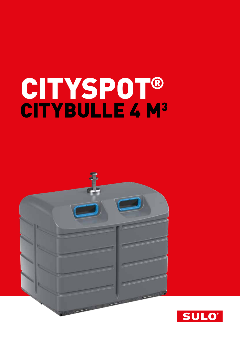# CITYSPOT® CITYBULLE 4 M<sup>3</sup>



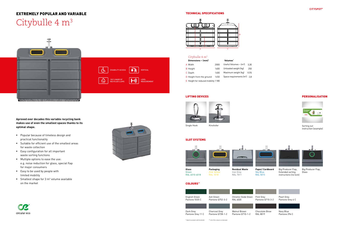## EXTREMELY POPULAR AND VARIABLE

# Citybulle 4 m<sup>3</sup>

**Aproved over decades this variable recycling bank makes use of even the smallest spaces thanks to its optimal shape.** 

- **Popular because of timeless design and** practical functionality
- Suitable for efficient use of the smallest areas for waste collection
- Easy configuration for all important waste sorting functions
- Multiple options to ease the use: e.g. noise reduction for glass, special flap for major consumers
- Easy to be used by people with limited mobility
- Smallest shape for  $3 \text{ m}^3$  volume available on the market



#### **TECHNICAL SPECIFICATIONS**

| Dimensions $\sim$ (mm) <sup>*</sup> |      | Volumes*                       |      |  |
|-------------------------------------|------|--------------------------------|------|--|
| A Width                             | 2000 | Useful Volumes ~ $[m^3]$       | 3.30 |  |
| <b>B</b> Height                     | 1600 | Unloaded weight (kg)           | 250  |  |
| C Depth                             | 1400 | Maximum weight (kg)            | 1570 |  |
| D Height from the ground            | 1450 | Space requirements $(m^2)$ 2.8 |      |  |
| E Height for reduced mobility 1180  |      |                                |      |  |





#### Citybulle 4 m<sup>3</sup>

#### SLOT SYSTEMS



**Paper/ Cardboard** Sky Blue RAL 5015

Green RAL 6010-6018



Zink Yellow RAL 1018

#### LIFTING DEVICES



Single Hook Kinshofer



Big Producer Flap, Extended sorting instructions (no lock)

**Residual Waste** Iron Grey RAL 7011

#### COLOURS\*\*

#### PERSONALISATION



Sorting out instruction (example)

Pearl Grey Pantone Grey 6 C

Flint Grey Pantone Q710-3-2





Chocolate Brow RAL 8019

Navy Blue Pantone 296 C





Big Producer Flap, Glass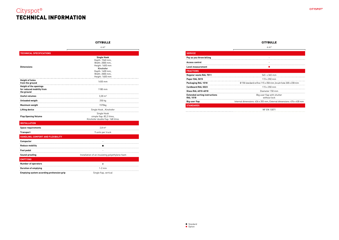|                                                         | $4 \text{ m}^3$                                                      |
|---------------------------------------------------------|----------------------------------------------------------------------|
| <b>SERVICE</b>                                          |                                                                      |
| Pay as you throw billing                                | $\overline{\phantom{a}}$                                             |
| <b>Access control</b>                                   |                                                                      |
| Level measurement                                       | ×                                                                    |
| <b>FRACTIONS</b>                                        |                                                                      |
| <b>Regular waste RAL 7011</b>                           | 545 x 365 mm                                                         |
| Paper RAL 5015                                          | $115 \times 350$ mm                                                  |
| Packaging RAL 1018                                      | Ø 150 standard orifice 115 x 350 mm; brush hole 320 x 230 mm         |
| <b>Cardboard RAL 5023</b>                               | $115 \times 350$ mm                                                  |
| Glass RAL 6010-6018                                     | Diameter 150 mm                                                      |
| <b>Extended sorting instructions</b><br><b>RAL 1018</b> | Big user flap with shutter<br>without lock                           |
| <b>Big user flap</b>                                    | Internal dimensions: 426 x 355 mm, External dimensions: 476 x 430 mm |
| <b>STANDARDS</b>                                        |                                                                      |
|                                                         | <b>NF EN 13071</b>                                                   |

Standard **Option** 

### Cityspot® TECHNICAL INFORMATION



#### **CITYBULLE**

#### CITYBULLE

|                                                                          | $4 \text{ m}^3$                                                                                                                                   |  |
|--------------------------------------------------------------------------|---------------------------------------------------------------------------------------------------------------------------------------------------|--|
| <b>TECHNICAL SPECIFICATIONS</b>                                          |                                                                                                                                                   |  |
| <b>Dimensions</b>                                                        | <b>Single Hook</b><br>Depth: 1560 mm,<br>Width: 2000 mm,<br>Height: 1600 mm<br>Kinshofer<br>Depth: 1400 mm,<br>Width: 2000 mm,<br>Height: 1600 mm |  |
| <b>Height of holes</b><br>from the ground                                | 1450 mm                                                                                                                                           |  |
| <b>Height of the openings</b><br>for reduced mobility from<br>the ground | 1180 mm                                                                                                                                           |  |
| <b>Useful volumes</b>                                                    | $3,30 \text{ m}^3$                                                                                                                                |  |
| <b>Unloaded weigth</b>                                                   | 250 kg                                                                                                                                            |  |
| Maximum weigth                                                           | 1570kg                                                                                                                                            |  |
| <b>Lifting device</b>                                                    | Single Hook, Kinshofer                                                                                                                            |  |
| <b>Flap Opening Volume</b>                                               | Single Hook<br>simple flap: 82,2 litres,<br>Kinshofer double flap: 168 litres                                                                     |  |
| <b>INSTALLATION</b>                                                      |                                                                                                                                                   |  |
| <b>Space requirements</b>                                                | $2.8 \text{ m}^2$                                                                                                                                 |  |
| <b>Transport</b>                                                         | 9 units per truck                                                                                                                                 |  |
| HANDLING, COMFORT AND FLEXIBILITY                                        |                                                                                                                                                   |  |
| Compactor                                                                |                                                                                                                                                   |  |
| <b>Reduce mobility</b>                                                   | ■                                                                                                                                                 |  |
| Foot pedal                                                               |                                                                                                                                                   |  |
| Sound-proofing                                                           | Installation of an insulating polyethylene foam                                                                                                   |  |
| <b>EMPTYING</b>                                                          |                                                                                                                                                   |  |
| <b>Number of operators</b>                                               | ŧ                                                                                                                                                 |  |
| <b>Duration of emptying</b>                                              | $1-2$ min                                                                                                                                         |  |
| Emptying system according prehension grip                                | Single flap, vertical                                                                                                                             |  |